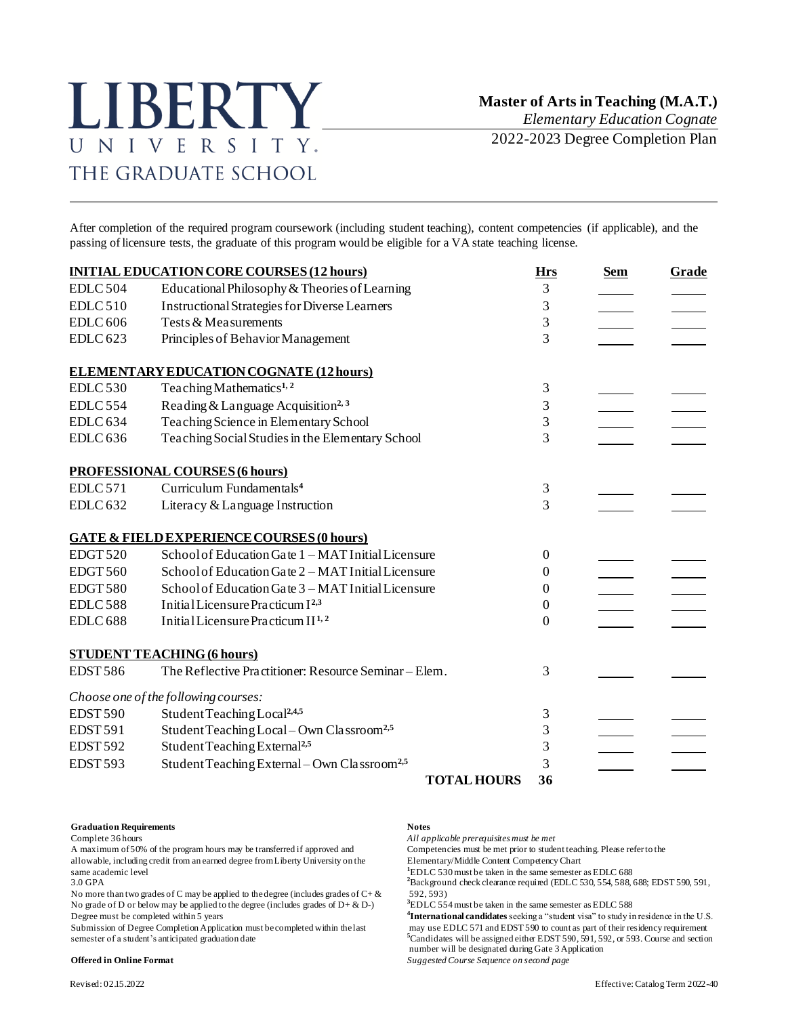# LIBERTY UNIVERSITY. THE GRADUATE SCHOOL

*Elementary Education Cognate*

2022-2023 Degree Completion Plan

After completion of the required program coursework (including student teaching), content competencies (if applicable), and the passing of licensure tests, the graduate of this program would be eligible for a VA state teaching license.

|                 | <b>INITIAL EDUCATION CORE COURSES (12 hours)</b>         | <b>Hrs</b> | <b>Sem</b> | Grade |
|-----------------|----------------------------------------------------------|------------|------------|-------|
| <b>EDLC 504</b> | Educational Philosophy & Theories of Learning            | 3          |            |       |
| EDLC 510        | <b>Instructional Strategies for Diverse Learners</b>     | 3          |            |       |
| <b>EDLC</b> 606 | Tests & Measurements                                     | 3          |            |       |
| <b>EDLC 623</b> | Principles of Behavior Management                        | 3          |            |       |
|                 | <b>ELEMENTARY EDUCATION COGNATE (12 hours)</b>           |            |            |       |
| <b>EDLC 530</b> | Teaching Mathematics <sup>1,2</sup>                      | 3          |            |       |
| <b>EDLC 554</b> | Reading & Language Acquisition <sup>2, 3</sup>           | 3          |            |       |
| <b>EDLC 634</b> | Teaching Science in Elementary School                    | 3          |            |       |
| <b>EDLC 636</b> | Teaching Social Studies in the Elementary School         | 3          |            |       |
|                 | <b>PROFESSIONAL COURSES (6 hours)</b>                    |            |            |       |
| <b>EDLC</b> 571 | Curriculum Fundamentals <sup>4</sup>                     | 3          |            |       |
| <b>EDLC 632</b> | Literacy & Language Instruction                          | 3          |            |       |
|                 | <b>GATE &amp; FIELD EXPERIENCE COURSES (0 hours)</b>     |            |            |       |
| <b>EDGT 520</b> | School of Education Gate 1 - MAT Initial Licensure       | 0          |            |       |
| <b>EDGT 560</b> | School of Education Gate 2 - MAT Initial Licensure       | 0          |            |       |
| EDGT580         | School of Education Gate 3 - MAT Initial Licensure       | $\Omega$   |            |       |
| <b>EDLC588</b>  | Initial Licensure Practicum I <sup>2,3</sup>             | 0          |            |       |
| <b>EDLC 688</b> | Initial Licensure Practicum II <sup>1,2</sup>            | 0          |            |       |
|                 | <b>STUDENT TEACHING (6 hours)</b>                        |            |            |       |
| <b>EDST586</b>  | The Reflective Practitioner: Resource Seminar - Elem.    | 3          |            |       |
|                 | Choose one of the following courses:                     |            |            |       |
| <b>EDST 590</b> | Student Teaching Local <sup>2,4,5</sup>                  | 3          |            |       |
| <b>EDST 591</b> | Student Teaching Local - Own Classroom <sup>2,5</sup>    | 3          |            |       |
| <b>EDST 592</b> | Student Teaching External <sup>2,5</sup>                 | 3          |            |       |
| <b>EDST 593</b> | Student Teaching External - Own Classroom <sup>2,5</sup> | 3          |            |       |
|                 | <b>TOTAL HOURS</b>                                       | 36         |            |       |

### **Graduation Requirements Notes**

A maximum of 50% of the program hours may be transferred if approved and Competencies must be met prior to student teaching. Please refer to the allowable, including credit from an earned degree from Liberty University on allowable, including credit from an earned degree from Liberty University on the same academic level<br> **1**EDLC 530 must be taken in the same semester as EDLC 688<br>
<sup>2</sup>Back ground check clearance required (FDLC 530, 554, 588,

No more than two grades of C may be applied to the degree (includes grades of  $C + \&$ No grade of D or below may be applied to the degree (includes grades of  $D + \& D$ -) Degree must be completed within 5 years **<sup>4</sup>**

Complete 36 hours *All applicable prerequisites must be met*

<sup>2</sup>Background check clearance required (EDLC 530, 554, 588, 688; EDST 590, 591, 592, 593)

**<sup>3</sup>**EDLC 554 must be taken in the same semester as EDLC 588

**International candidates**seeking a "student visa" to study in residence in the U.S. Submission of Degree Completion Application must be completed within the last may use EDLC 571 and EDST 590 to count as part of their residency requirement<br><sup>5</sup>Candidates will be assigned either EDST 590, 591, 592, or 593. <sup>5</sup>Candidates will be assigned either EDST 590, 591, 592, or 593. Course and section number will be designated during Gate 3 Application **Offered in Online Format** *Suggested Course Sequence on second page*